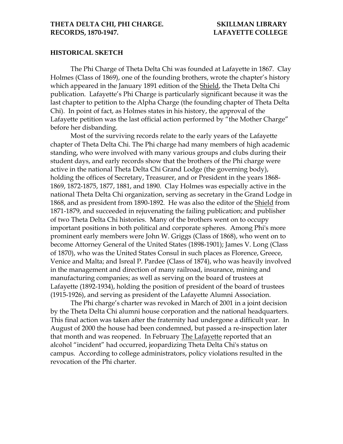#### **HISTORICAL SKETCH**

The Phi Charge of Theta Delta Chi was founded at Lafayette in 1867. Clay Holmes (Class of 1869), one of the founding brothers, wrote the chapter's history which appeared in the January 1891 edition of the Shield, the Theta Delta Chi publication. Lafayette's Phi Charge is particularly significant because it was the last chapter to petition to the Alpha Charge (the founding chapter of Theta Delta Chi). In point of fact, as Holmes states in his history, the approval of the Lafayette petition was the last official action performed by "the Mother Charge" before her disbanding.

Most of the surviving records relate to the early years of the Lafayette chapter of Theta Delta Chi. The Phi charge had many members of high academic standing, who were involved with many various groups and clubs during their student days, and early records show that the brothers of the Phi charge were active in the national Theta Delta Chi Grand Lodge (the governing body), holding the offices of Secretary, Treasurer, and or President in the years 1868- 1869, 1872-1875, 1877, 1881, and 1890. Clay Holmes was especially active in the national Theta Delta Chi organization, serving as secretary in the Grand Lodge in 1868, and as president from 1890-1892. He was also the editor of the Shield from 1871-1879, and succeeded in rejuvenating the failing publication; and publisher of two Theta Delta Chi histories. Many of the brothers went on to occupy important positions in both political and corporate spheres. Among Phi's more prominent early members were John W. Griggs (Class of 1868), who went on to become Attorney General of the United States (1898-1901); James V. Long (Class of 1870), who was the United States Consul in such places as Florence, Greece, Venice and Malta; and Isreal P. Pardee (Class of 1874), who was heavily involved in the management and direction of many railroad, insurance, mining and manufacturing companies; as well as serving on the board of trustees at Lafayette (1892-1934), holding the position of president of the board of trustees (1915-1926), and serving as president of the Lafayette Alumni Association.

The Phi charge's charter was revoked in March of 2001 in a joint decision by the Theta Delta Chi alumni house corporation and the national headquarters. This final action was taken after the fraternity had undergone a difficult year. In August of 2000 the house had been condemned, but passed a re-inspection later that month and was reopened. In February The Lafayette reported that an alcohol "incident" had occurred, jeopardizing Theta Delta Chi's status on campus. According to college administrators, policy violations resulted in the revocation of the Phi charter.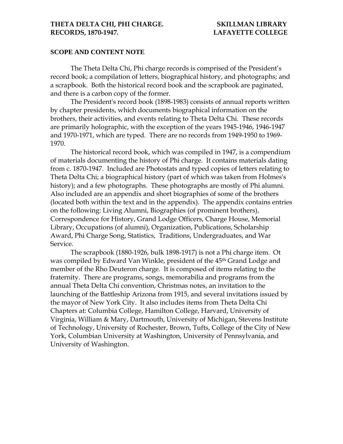#### **SCOPE AND CONTENT NOTE**

The Theta Delta Chi, Phi charge records is comprised of the President's record book; a compilation of letters, biographical history, and photographs; and a scrapbook. Both the historical record book and the scrapbook are paginated, and there is a carbon copy of the former.

The President's record book (1898-1983) consists of annual reports written by chapter presidents, which documents biographical information on the brothers, their activities, and events relating to Theta Delta Chi. These records are primarily holographic, with the exception of the years 1945-1946, 1946-1947 and 1970-1971, which are typed. There are no records from 1949-1950 to 1969- 1970.

 The historical record book, which was compiled in 1947, is a compendium of materials documenting the history of Phi charge. It contains materials dating from c. 1870-1947. Included are Photostats and typed copies of letters relating to Theta Delta Chi; a biographical history (part of which was taken from Holmes's history); and a few photographs. These photographs are mostly of Phi alumni. Also included are an appendix and short biographies of some of the brothers (located both within the text and in the appendix). The appendix contains entries on the following: Living Alumni, Biographies (of prominent brothers), Correspondence for History, Grand Lodge Officers, Charge House, Memorial Library, Occupations (of alumni), Organization, Publications, Scholarship Award, Phi Charge Song, Statistics, Traditions, Undergraduates, and War Service.

 The scrapbook (1880-1926, bulk 1898-1917) is not a Phi charge item. Ot was compiled by Edward Van Winkle, president of the 45<sup>th</sup> Grand Lodge and member of the Rho Deuteron charge. It is composed of items relating to the fraternity. There are programs, songs, memorabilia and programs from the annual Theta Delta Chi convention, Christmas notes, an invitation to the launching of the Battleship Arizona from 1915, and several invitations issued by the mayor of New York City. It also includes items from Theta Delta Chi Chapters at: Columbia College, Hamilton College, Harvard, University of Virginia, William & Mary, Dartmouth, University of Michigan, Stevens Institute of Technology, University of Rochester, Brown, Tufts, College of the City of New York, Columbian University at Washington, University of Pennsylvania, and University of Washington.